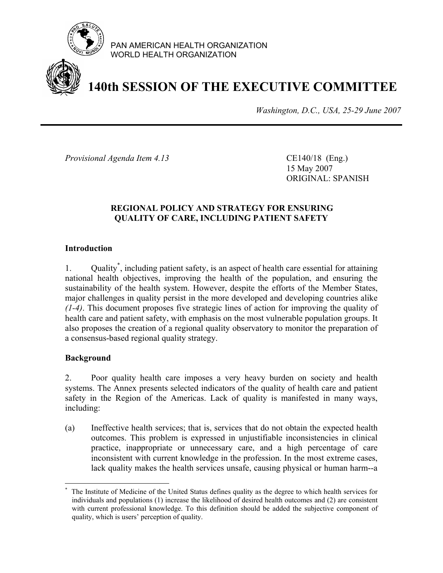

PAN AMERICAN HEALTH ORGANIZATION WORLD HEALTH ORGANIZATION

# **140th SESSION OF THE EXECUTIVE COMMITTEE**

*Washington, D.C., USA, 25-29 June 2007*

*Provisional Agenda Item 4.13* CE140/18 (Eng.)

 15 May 2007 ORIGINAL: SPANISH

## **REGIONAL POLICY AND STRATEGY FOR ENSURING QUALITY OF CARE, INCLUDING PATIENT SAFETY**

## **Introduction**

1. Quality\* , including patient safety, is an aspect of health care essential for attaining national health objectives, improving the health of the population, and ensuring the sustainability of the health system. However, despite the efforts of the Member States, major challenges in quality persist in the more developed and developing countries alike *(1-4)*. This document proposes five strategic lines of action for improving the quality of health care and patient safety, with emphasis on the most vulnerable population groups. It also proposes the creation of a regional quality observatory to monitor the preparation of a consensus-based regional quality strategy.

## **Background**

 $\overline{a}$ 

2. Poor quality health care imposes a very heavy burden on society and health systems. The Annex presents selected indicators of the quality of health care and patient safety in the Region of the Americas. Lack of quality is manifested in many ways, including:

(a) Ineffective health services; that is, services that do not obtain the expected health outcomes. This problem is expressed in unjustifiable inconsistencies in clinical practice, inappropriate or unnecessary care, and a high percentage of care inconsistent with current knowledge in the profession. In the most extreme cases, lack quality makes the health services unsafe, causing physical or human harm--a

<sup>\*</sup> The Institute of Medicine of the United Status defines quality as the degree to which health services for individuals and populations (1) increase the likelihood of desired health outcomes and (2) are consistent with current professional knowledge. To this definition should be added the subjective component of quality, which is users' perception of quality.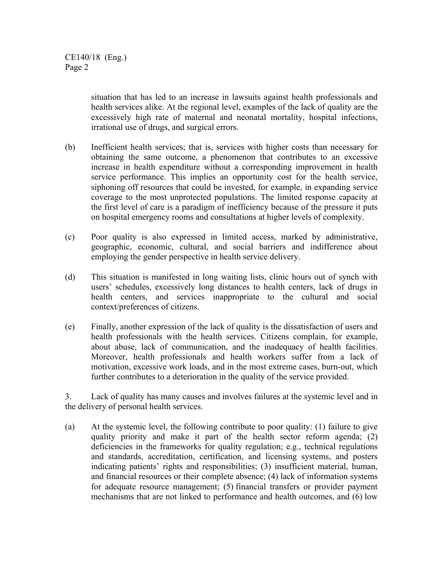situation that has led to an increase in lawsuits against health professionals and health services alike. At the regional level, examples of the lack of quality are the excessively high rate of maternal and neonatal mortality, hospital infections, irrational use of drugs, and surgical errors.

- (b) Inefficient health services; that is, services with higher costs than necessary for obtaining the same outcome, a phenomenon that contributes to an excessive increase in health expenditure without a corresponding improvement in health service performance. This implies an opportunity cost for the health service, siphoning off resources that could be invested, for example, in expanding service coverage to the most unprotected populations. The limited response capacity at the first level of care is a paradigm of inefficiency because of the pressure it puts on hospital emergency rooms and consultations at higher levels of complexity.
- (c) Poor quality is also expressed in limited access, marked by administrative, geographic, economic, cultural, and social barriers and indifference about employing the gender perspective in health service delivery.
- (d) This situation is manifested in long waiting lists, clinic hours out of synch with users' schedules, excessively long distances to health centers, lack of drugs in health centers, and services inappropriate to the cultural and social context/preferences of citizens.
- (e) Finally, another expression of the lack of quality is the dissatisfaction of users and health professionals with the health services. Citizens complain, for example, about abuse, lack of communication, and the inadequacy of health facilities. Moreover, health professionals and health workers suffer from a lack of motivation, excessive work loads, and in the most extreme cases, burn-out, which further contributes to a deterioration in the quality of the service provided.

3. Lack of quality has many causes and involves failures at the systemic level and in the delivery of personal health services.

(a) At the systemic level, the following contribute to poor quality: (1) failure to give quality priority and make it part of the health sector reform agenda; (2) deficiencies in the frameworks for quality regulation; e.g., technical regulations and standards, accreditation, certification, and licensing systems, and posters indicating patients' rights and responsibilities; (3) insufficient material, human, and financial resources or their complete absence; (4) lack of information systems for adequate resource management; (5) financial transfers or provider payment mechanisms that are not linked to performance and health outcomes, and (6) low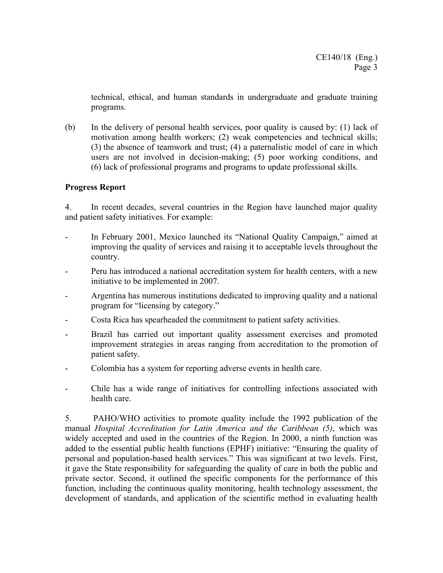technical, ethical, and human standards in undergraduate and graduate training programs.

(b) In the delivery of personal health services, poor quality is caused by: (1) lack of motivation among health workers; (2) weak competencies and technical skills; (3) the absence of teamwork and trust; (4) a paternalistic model of care in which users are not involved in decision-making; (5) poor working conditions, and (6) lack of professional programs and programs to update professional skills.

## **Progress Report**

4. In recent decades, several countries in the Region have launched major quality and patient safety initiatives. For example:

- In February 2001, Mexico launched its "National Quality Campaign," aimed at improving the quality of services and raising it to acceptable levels throughout the country.
- Peru has introduced a national accreditation system for health centers, with a new initiative to be implemented in 2007.
- Argentina has numerous institutions dedicated to improving quality and a national program for "licensing by category."
- Costa Rica has spearheaded the commitment to patient safety activities.
- Brazil has carried out important quality assessment exercises and promoted improvement strategies in areas ranging from accreditation to the promotion of patient safety.
- Colombia has a system for reporting adverse events in health care.
- Chile has a wide range of initiatives for controlling infections associated with health care.

5. PAHO/WHO activities to promote quality include the 1992 publication of the manual *Hospital Accreditation for Latin America and the Caribbean (5)*, which was widely accepted and used in the countries of the Region. In 2000, a ninth function was added to the essential public health functions (EPHF) initiative: "Ensuring the quality of personal and population-based health services." This was significant at two levels. First, it gave the State responsibility for safeguarding the quality of care in both the public and private sector. Second, it outlined the specific components for the performance of this function, including the continuous quality monitoring, health technology assessment, the development of standards, and application of the scientific method in evaluating health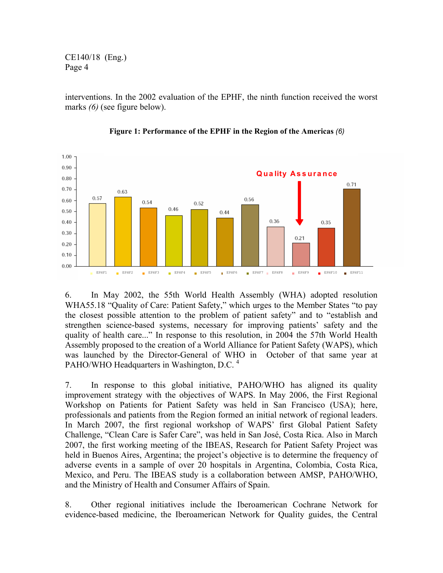CE140/18 (Eng.) Page 4

interventions. In the 2002 evaluation of the EPHF, the ninth function received the worst marks *(6)* (see figure below).



**Figure 1: Performance of the EPHF in the Region of the Americas** *(6)*

6. In May 2002, the 55th World Health Assembly (WHA) adopted resolution WHA55.18 "Quality of Care: Patient Safety," which urges to the Member States "to pay the closest possible attention to the problem of patient safety" and to "establish and strengthen science-based systems, necessary for improving patients' safety and the quality of health care..." In response to this resolution, in 2004 the 57th World Health Assembly proposed to the creation of a World Alliance for Patient Safety (WAPS), which was launched by the Director-General of WHO in October of that same year at PAHO/WHO Headquarters in Washington, D.C.<sup>4</sup>

7. In response to this global initiative, PAHO/WHO has aligned its quality improvement strategy with the objectives of WAPS. In May 2006, the First Regional Workshop on Patients for Patient Safety was held in San Francisco (USA); here, professionals and patients from the Region formed an initial network of regional leaders. In March 2007, the first regional workshop of WAPS' first Global Patient Safety Challenge, "Clean Care is Safer Care", was held in San José, Costa Rica. Also in March 2007, the first working meeting of the IBEAS, Research for Patient Safety Project was held in Buenos Aires, Argentina; the project's objective is to determine the frequency of adverse events in a sample of over 20 hospitals in Argentina, Colombia, Costa Rica, Mexico, and Peru. The IBEAS study is a collaboration between AMSP, PAHO/WHO, and the Ministry of Health and Consumer Affairs of Spain.

8. Other regional initiatives include the Iberoamerican Cochrane Network for evidence-based medicine, the Iberoamerican Network for Quality guides, the Central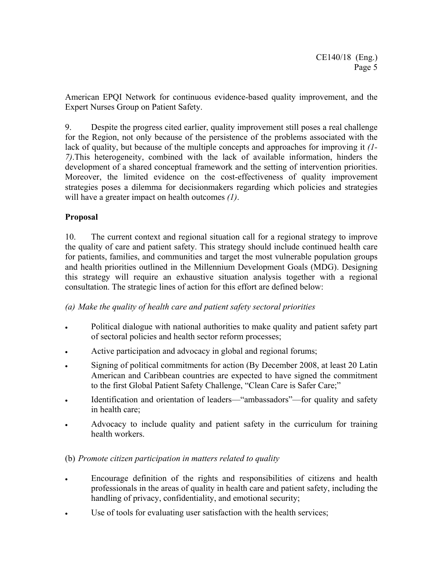American EPQI Network for continuous evidence-based quality improvement, and the Expert Nurses Group on Patient Safety.

9. Despite the progress cited earlier, quality improvement still poses a real challenge for the Region, not only because of the persistence of the problems associated with the lack of quality, but because of the multiple concepts and approaches for improving it *(1- 7)*.This heterogeneity, combined with the lack of available information, hinders the development of a shared conceptual framework and the setting of intervention priorities. Moreover, the limited evidence on the cost-effectiveness of quality improvement strategies poses a dilemma for decisionmakers regarding which policies and strategies will have a greater impact on health outcomes *(1)*.

# **Proposal**

10. The current context and regional situation call for a regional strategy to improve the quality of care and patient safety. This strategy should include continued health care for patients, families, and communities and target the most vulnerable population groups and health priorities outlined in the Millennium Development Goals (MDG). Designing this strategy will require an exhaustive situation analysis together with a regional consultation. The strategic lines of action for this effort are defined below:

## *(a) Make the quality of health care and patient safety sectoral priorities*

- Political dialogue with national authorities to make quality and patient safety part of sectoral policies and health sector reform processes;
- Active participation and advocacy in global and regional forums;
- Signing of political commitments for action (By December 2008, at least 20 Latin American and Caribbean countries are expected to have signed the commitment to the first Global Patient Safety Challenge, "Clean Care is Safer Care;"
- Identification and orientation of leaders—"ambassadors"—for quality and safety in health care;
- Advocacy to include quality and patient safety in the curriculum for training health workers.

## (b) *Promote citizen participation in matters related to quality*

- Encourage definition of the rights and responsibilities of citizens and health professionals in the areas of quality in health care and patient safety, including the handling of privacy, confidentiality, and emotional security;
- Use of tools for evaluating user satisfaction with the health services;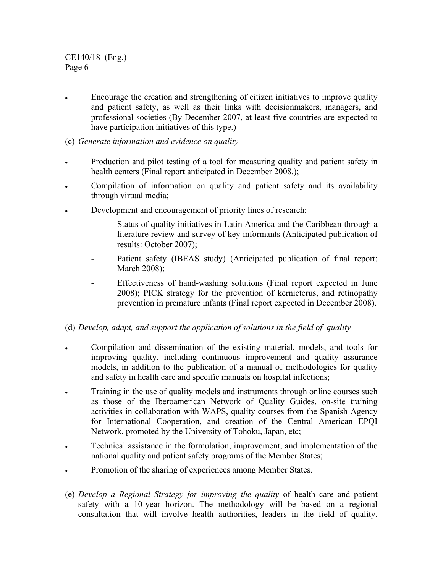CE140/18 (Eng.) Page 6

• Encourage the creation and strengthening of citizen initiatives to improve quality and patient safety, as well as their links with decisionmakers, managers, and professional societies (By December 2007, at least five countries are expected to have participation initiatives of this type.)

# (c) *Generate information and evidence on quality*

- Production and pilot testing of a tool for measuring quality and patient safety in health centers (Final report anticipated in December 2008.);
- Compilation of information on quality and patient safety and its availability through virtual media;
- Development and encouragement of priority lines of research:
	- Status of quality initiatives in Latin America and the Caribbean through a literature review and survey of key informants (Anticipated publication of results: October 2007);
	- Patient safety (IBEAS study) (Anticipated publication of final report: March 2008);
	- Effectiveness of hand-washing solutions (Final report expected in June 2008); PICK strategy for the prevention of kernicterus, and retinopathy prevention in premature infants (Final report expected in December 2008).

## (d) *Develop, adapt, and support the application of solutions in the field of quality*

- Compilation and dissemination of the existing material, models, and tools for improving quality, including continuous improvement and quality assurance models, in addition to the publication of a manual of methodologies for quality and safety in health care and specific manuals on hospital infections;
- Training in the use of quality models and instruments through online courses such as those of the Iberoamerican Network of Quality Guides, on-site training activities in collaboration with WAPS, quality courses from the Spanish Agency for International Cooperation, and creation of the Central American EPQI Network, promoted by the University of Tohoku, Japan, etc;
- Technical assistance in the formulation, improvement, and implementation of the national quality and patient safety programs of the Member States;
- Promotion of the sharing of experiences among Member States.
- (e) *Develop a Regional Strategy for improving the quality* of health care and patient safety with a 10-year horizon. The methodology will be based on a regional consultation that will involve health authorities, leaders in the field of quality,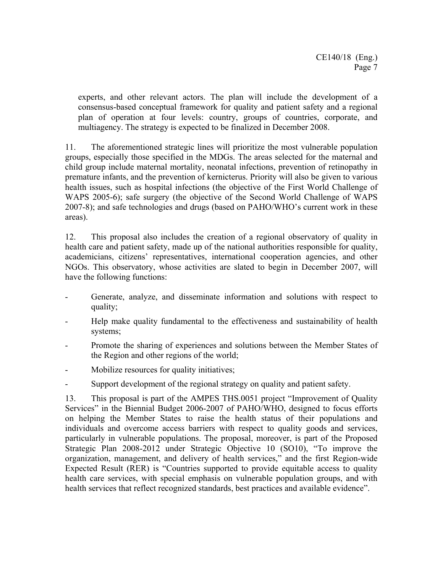experts, and other relevant actors. The plan will include the development of a consensus-based conceptual framework for quality and patient safety and a regional plan of operation at four levels: country, groups of countries, corporate, and multiagency. The strategy is expected to be finalized in December 2008.

11. The aforementioned strategic lines will prioritize the most vulnerable population groups, especially those specified in the MDGs. The areas selected for the maternal and child group include maternal mortality, neonatal infections, prevention of retinopathy in premature infants, and the prevention of kernicterus. Priority will also be given to various health issues, such as hospital infections (the objective of the First World Challenge of WAPS 2005-6); safe surgery (the objective of the Second World Challenge of WAPS 2007-8); and safe technologies and drugs (based on PAHO/WHO's current work in these areas).

12. This proposal also includes the creation of a regional observatory of quality in health care and patient safety, made up of the national authorities responsible for quality, academicians, citizens' representatives, international cooperation agencies, and other NGOs. This observatory, whose activities are slated to begin in December 2007, will have the following functions:

- Generate, analyze, and disseminate information and solutions with respect to quality;
- Help make quality fundamental to the effectiveness and sustainability of health systems;
- Promote the sharing of experiences and solutions between the Member States of the Region and other regions of the world;
- Mobilize resources for quality initiatives;
- Support development of the regional strategy on quality and patient safety.

13. This proposal is part of the AMPES THS.0051 project "Improvement of Quality Services" in the Biennial Budget 2006-2007 of PAHO/WHO, designed to focus efforts on helping the Member States to raise the health status of their populations and individuals and overcome access barriers with respect to quality goods and services, particularly in vulnerable populations. The proposal, moreover, is part of the Proposed Strategic Plan 2008-2012 under Strategic Objective 10 (SO10), "To improve the organization, management, and delivery of health services," and the first Region-wide Expected Result (RER) is "Countries supported to provide equitable access to quality health care services, with special emphasis on vulnerable population groups, and with health services that reflect recognized standards, best practices and available evidence".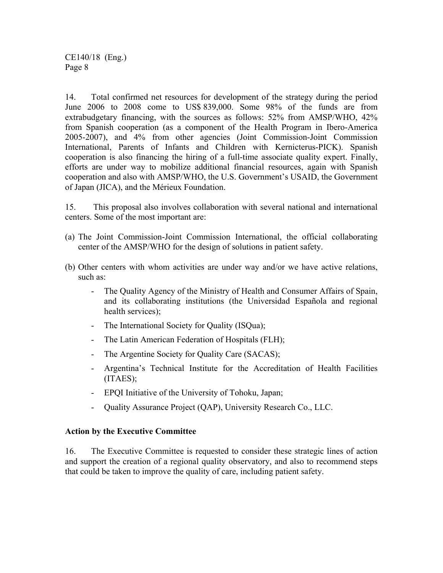CE140/18 (Eng.) Page 8

14. Total confirmed net resources for development of the strategy during the period June 2006 to 2008 come to US\$ 839,000. Some 98% of the funds are from extrabudgetary financing, with the sources as follows: 52% from AMSP/WHO, 42% from Spanish cooperation (as a component of the Health Program in Ibero-America 2005-2007), and 4% from other agencies (Joint Commission-Joint Commission International, Parents of Infants and Children with Kernicterus-PICK). Spanish cooperation is also financing the hiring of a full-time associate quality expert. Finally, efforts are under way to mobilize additional financial resources, again with Spanish cooperation and also with AMSP/WHO, the U.S. Government's USAID, the Government of Japan (JICA), and the Mérieux Foundation.

15. This proposal also involves collaboration with several national and international centers. Some of the most important are:

- (a) The Joint Commission-Joint Commission International, the official collaborating center of the AMSP/WHO for the design of solutions in patient safety.
- (b) Other centers with whom activities are under way and/or we have active relations, such as:
	- The Quality Agency of the Ministry of Health and Consumer Affairs of Spain, and its collaborating institutions (the Universidad Española and regional health services);
	- The International Society for Quality (ISQua);
	- The Latin American Federation of Hospitals (FLH);
	- The Argentine Society for Quality Care (SACAS);
	- Argentina's Technical Institute for the Accreditation of Health Facilities (ITAES);
	- EPQI Initiative of the University of Tohoku, Japan;
	- Quality Assurance Project (QAP), University Research Co., LLC.

#### **Action by the Executive Committee**

16. The Executive Committee is requested to consider these strategic lines of action and support the creation of a regional quality observatory, and also to recommend steps that could be taken to improve the quality of care, including patient safety.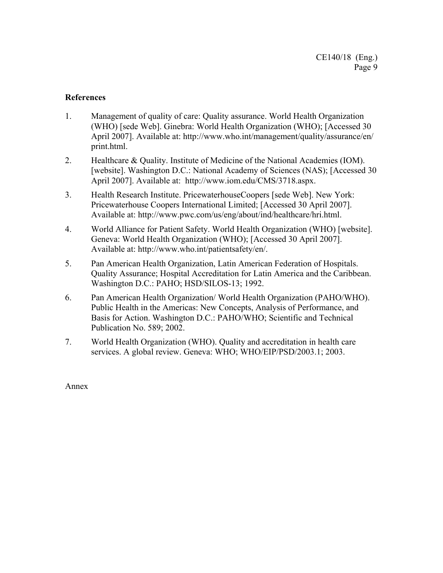#### **References**

- 1. Management of quality of care: Quality assurance. World Health Organization (WHO) [sede Web]. Ginebra: World Health Organization (WHO); [Accessed 30 April 2007]. Available at: http://www.who.int/management/quality/assurance/en/ print.html.
- 2. Healthcare & Quality. Institute of Medicine of the National Academies (IOM). [website]. Washington D.C.: National Academy of Sciences (NAS); [Accessed 30 April 2007]. Available at: http://www.iom.edu/CMS/3718.aspx.
- 3. Health Research Institute. PricewaterhouseCoopers [sede Web]. New York: Pricewaterhouse Coopers International Limited; [Accessed 30 April 2007]. Available at: http://www.pwc.com/us/eng/about/ind/healthcare/hri.html.
- 4. World Alliance for Patient Safety. World Health Organization (WHO) [website]. Geneva: World Health Organization (WHO); [Accessed 30 April 2007]. Available at: http://www.who.int/patientsafety/en/.
- 5. Pan American Health Organization, Latin American Federation of Hospitals. Quality Assurance; Hospital Accreditation for Latin America and the Caribbean. Washington D.C.: PAHO; HSD/SILOS-13; 1992.
- 6. Pan American Health Organization/ World Health Organization (PAHO/WHO). Public Health in the Americas: New Concepts, Analysis of Performance, and Basis for Action. Washington D.C.: PAHO/WHO; Scientific and Technical Publication No. 589; 2002.
- 7. World Health Organization (WHO). Quality and accreditation in health care services. A global review. Geneva: WHO; WHO/EIP/PSD/2003.1; 2003.

Annex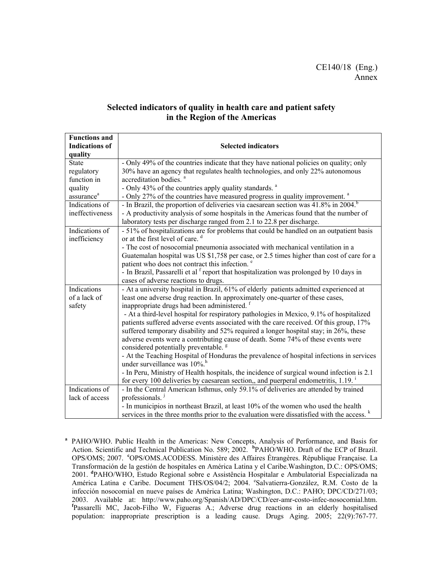#### **Selected indicators of quality in health care and patient safety in the Region of the Americas**

| <b>Functions and</b><br><b>Indications of</b><br>quality | <b>Selected indicators</b>                                                                                                  |
|----------------------------------------------------------|-----------------------------------------------------------------------------------------------------------------------------|
| <b>State</b>                                             | - Only 49% of the countries indicate that they have national policies on quality; only                                      |
| regulatory                                               | 30% have an agency that regulates health technologies, and only 22% autonomous                                              |
| function in                                              | accreditation bodies. <sup>a</sup>                                                                                          |
| quality                                                  | - Only 43% of the countries apply quality standards. <sup>a</sup>                                                           |
| assurance <sup>a</sup>                                   | - Only 27% of the countries have measured progress in quality improvement. <sup>a</sup>                                     |
| Indications of                                           | - In Brazil, the proportion of deliveries via caesarean section was 41.8% in 2004.                                          |
| ineffectiveness                                          | - A productivity analysis of some hospitals in the Americas found that the number of                                        |
|                                                          | laboratory tests per discharge ranged from 2.1 to 22.8 per discharge.                                                       |
| Indications of                                           | - 51% of hospitalizations are for problems that could be handled on an outpatient basis                                     |
| inefficiency                                             | or at the first level of care. <sup>d</sup>                                                                                 |
|                                                          | - The cost of nosocomial pneumonia associated with mechanical ventilation in a                                              |
|                                                          | Guatemalan hospital was US \$1,758 per case, or 2.5 times higher than cost of care for a                                    |
|                                                          | patient who does not contract this infection. <sup>e</sup>                                                                  |
|                                                          | - In Brazil, Passarelli et al <sup>f</sup> report that hospitalization was prolonged by 10 days in                          |
|                                                          | cases of adverse reactions to drugs.                                                                                        |
| Indications                                              | - At a university hospital in Brazil, 61% of elderly patients admitted experienced at                                       |
| of a lack of                                             | least one adverse drug reaction. In approximately one-quarter of these cases,                                               |
| safety                                                   | inappropriate drugs had been administered. <sup>1</sup>                                                                     |
|                                                          | - At a third-level hospital for respiratory pathologies in Mexico, 9.1% of hospitalized                                     |
|                                                          | patients suffered adverse events associated with the care received. Of this group, 17%                                      |
|                                                          | suffered temporary disability and 52% required a longer hospital stay; in 26%, these                                        |
|                                                          | adverse events were a contributing cause of death. Some 74% of these events were                                            |
|                                                          | considered potentially preventable. <sup>g</sup>                                                                            |
|                                                          | - At the Teaching Hospital of Honduras the prevalence of hospital infections in services<br>under surveillance was $10\%$ . |
|                                                          |                                                                                                                             |
|                                                          | - In Peru, Ministry of Health hospitals, the incidence of surgical wound infection is 2.1                                   |
| Indications of                                           | for every 100 deliveries by caesarean section,, and puerperal endometritis, 1.19.                                           |
| lack of access                                           | - In the Central American Isthmus, only 59.1% of deliveries are attended by trained<br>professionals. <sup>1</sup>          |
|                                                          |                                                                                                                             |
|                                                          | - In municipios in northeast Brazil, at least 10% of the women who used the health                                          |
|                                                          | services in the three months prior to the evaluation were dissatisfied with the access. <sup>k</sup>                        |

<sup>a</sup> PAHO/WHO. Public Health in the Americas: New Concepts, Analysis of Performance, and Basis for Action. Scientific and Technical Publication No. 589; 2002. **<sup>b</sup>** PAHO/WHO. Draft of the ECP of Brazil. OPS/OMS; 2007. **<sup>c</sup>**OPS/OMS.ACODESS. Ministère des Affaires Étrangères. République Française. La Transformación de la gestión de hospitales en América Latina y el Caribe.Washington, D.C.: OPS/OMS; 2001. **<sup>d</sup>** PAHO/WHO, Estudo Regional sobre e Assistência Hospitalar e Ambulatorial Especializada na América Latina e Caribe. Document THS/OS/04/2; 2004. <sup>e</sup>Salvatierra-González, R.M. Costo de la infección nosocomial en nueve países de América Latina; Washington, D.C.: PAHO; DPC/CD/271/03; 2003. Available at: http://www.paho.org/Spanish/AD/DPC/CD/eer-amr-costo-infec-nosocomial.htm. **<sup>f</sup>** Passarelli MC, Jacob-Filho W, Figueras A.; Adverse drug reactions in an elderly hospitalised population: inappropriate prescription is a leading cause. Drugs Aging. 2005; 22(9):767-77.